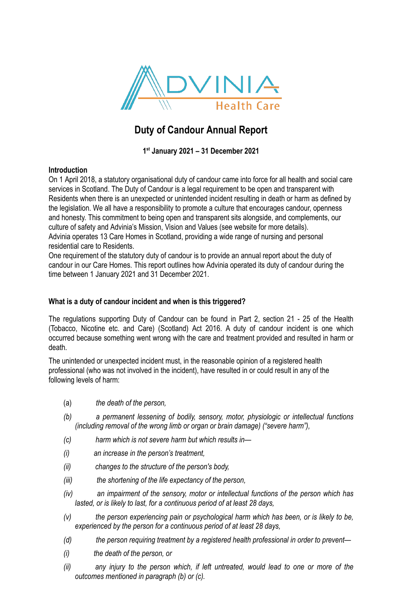

# **Duty of Candour Annual Report**

**1st January 2021 – 31 December 2021**

# **Introduction**

On 1 April 2018, a statutory organisational duty of candour came into force for all health and social care services in Scotland. The Duty of Candour is a legal requirement to be open and transparent with Residents when there is an unexpected or unintended incident resulting in death or harm as defined by the legislation. We all have a responsibility to promote a culture that encourages candour, openness and honesty. This commitment to being open and transparent sits alongside, and complements, our culture of safety and Advinia's Mission, Vision and Values (see website for more details). Advinia operates 13 Care Homes in Scotland, providing a wide range of nursing and personal residential care to Residents.

One requirement of the statutory duty of candour is to provide an annual report about the duty of candour in our Care Homes. This report outlines how Advinia operated its duty of candour during the time between 1 January 2021 and 31 December 2021.

# **What is a duty of candour incident and when is this triggered?**

The regulations supporting Duty of Candour can be found in Part 2, section 21 - 25 of the Health (Tobacco, Nicotine etc. and Care) (Scotland) Act 2016. A duty of candour incident is one which occurred because something went wrong with the care and treatment provided and resulted in harm or death.

The unintended or unexpected incident must, in the reasonable opinion of a registered health professional (who was not involved in the incident), have resulted in or could result in any of the following levels of harm:

- (a) *the death of the person,*
- *(b) a permanent lessening of bodily, sensory, motor, physiologic or intellectual functions (including removal of the wrong limb or organ or brain damage) ("severe harm"),*
- *(c) harm which is not severe harm but which results in—*
- *(i) an increase in the person's treatment,*
- *(ii) changes to the structure of the person's body,*
- *(iii) the shortening of the life expectancy of the person,*
- *(iv) an impairment of the sensory, motor or intellectual functions of the person which has lasted, or is likely to last, for a continuous period of at least 28 days,*
- *(v) the person experiencing pain or psychological harm which has been, or is likely to be, experienced by the person for a continuous period of at least 28 days,*
- *(d) the person requiring treatment by a registered health professional in order to prevent—*
- *(i) the death of the person, or*
- *(ii) any injury to the person which, if left untreated, would lead to one or more of the outcomes mentioned in paragraph (b) or (c).*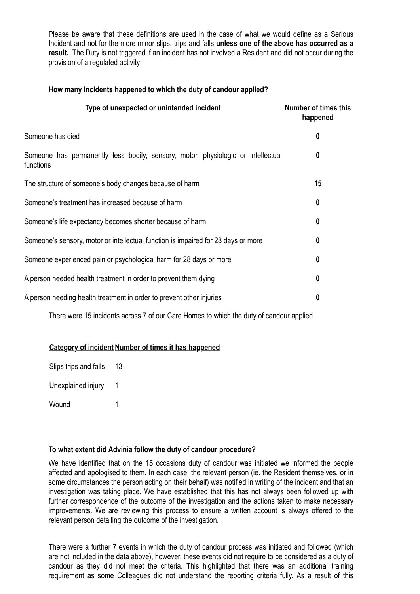Please be aware that these definitions are used in the case of what we would define as a Serious Incident and not for the more minor slips, trips and falls **unless one of the above has occurred as a result.** The Duty is not triggered if an incident has not involved a Resident and did not occur during the provision of a regulated activity.

## **How many incidents happened to which the duty of candour applied?**

| <b>Number of times this</b><br>happened                                               |
|---------------------------------------------------------------------------------------|
| 0                                                                                     |
| Someone has permanently less bodily, sensory, motor, physiologic or intellectual<br>0 |
| 15                                                                                    |
| 0                                                                                     |
| 0                                                                                     |
| 0                                                                                     |
| 0                                                                                     |
| 0                                                                                     |
| 0                                                                                     |
|                                                                                       |

There were 15 incidents across 7 of our Care Homes to which the duty of candour applied.

#### **Category of incident Number of times it has happened**

| Slips trips and falls | 13 |
|-----------------------|----|
| Unexplained injury    | 1  |
| Wound                 | 1  |

#### **To what extent did Advinia follow the duty of candour procedure?**

We have identified that on the 15 occasions duty of candour was initiated we informed the people affected and apologised to them. In each case, the relevant person (ie. the Resident themselves, or in some circumstances the person acting on their behalf) was notified in writing of the incident and that an investigation was taking place. We have established that this has not always been followed up with further correspondence of the outcome of the investigation and the actions taken to make necessary improvements. We are reviewing this process to ensure a written account is always offered to the relevant person detailing the outcome of the investigation.

There were a further 7 events in which the duty of candour process was initiated and followed (which are not included in the data above), however, these events did not require to be considered as a duty of candour as they did not meet the criteria. This highlighted that there was an additional training requirement as some Colleagues did not understand the reporting criteria fully. As a result of this

finding, we are in the process of identifying what support Colleagues require and how this can be